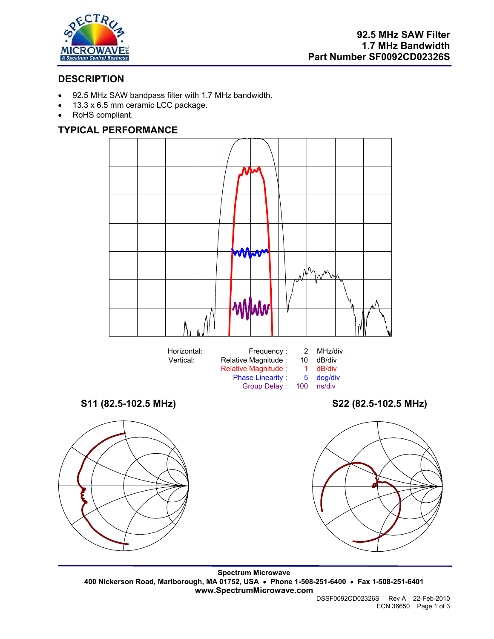

# **DESCRIPTION**

- 92.5 MHz SAW bandpass filter with 1.7 MHz bandwidth.
- 13.3 x 6.5 mm ceramic LCC package.
- RoHS compliant.

## **TYPICAL PERFORMANCE**



**Spectrum Microwave 400 Nickerson Road, Marlborough, MA 01752, USA** • **Phone 1-508-251-6400** • **Fax 1-508-251-6401 www.SpectrumMicrowave.com**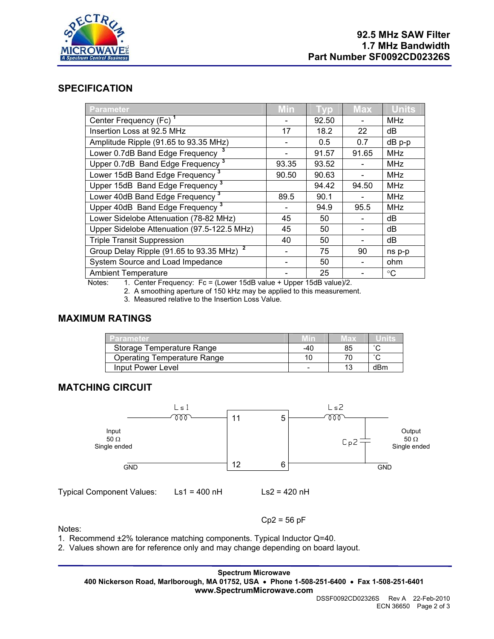

### **SPECIFICATION**

| <b>Parameter</b>                                     | <b>Min</b> | <b>LVD</b> | <b>Max</b> | <b>Units</b>    |
|------------------------------------------------------|------------|------------|------------|-----------------|
| Center Frequency (Fc) <sup>1</sup>                   |            | 92.50      |            | <b>MHz</b>      |
| Insertion Loss at 92.5 MHz                           | 17         | 18.2       | 22         | dB              |
| Amplitude Ripple (91.65 to 93.35 MHz)                |            | 0.5        | 0.7        | dB p-p          |
| Lower 0.7dB Band Edge Frequency                      |            | 91.57      | 91.65      | <b>MHz</b>      |
| Upper 0.7dB Band Edge Frequency <sup>3</sup>         | 93.35      | 93.52      |            | <b>MHz</b>      |
| Lower 15dB Band Edge Frequency <sup>3</sup>          | 90.50      | 90.63      |            | <b>MHz</b>      |
| Upper 15dB Band Edge Frequency <sup>3</sup>          |            | 94.42      | 94.50      | <b>MHz</b>      |
| Lower 40dB Band Edge Frequency <sup>3</sup>          | 89.5       | 90.1       |            | <b>MHz</b>      |
| Upper 40dB Band Edge Frequency <sup>3</sup>          |            | 94.9       | 95.5       | <b>MHz</b>      |
| Lower Sidelobe Attenuation (78-82 MHz)               | 45         | 50         |            | dB              |
| Upper Sidelobe Attenuation (97.5-122.5 MHz)          | 45         | 50         |            | dB              |
| <b>Triple Transit Suppression</b>                    | 40         | 50         |            | dB              |
| Group Delay Ripple (91.65 to 93.35 MHz) <sup>2</sup> |            | 75         | 90         | ns p-p          |
| System Source and Load Impedance                     |            | 50         |            | ohm             |
| <b>Ambient Temperature</b>                           |            | 25         |            | $\rm ^{\circ}C$ |

Notes: 1. Center Frequency: Fc = (Lower 15dB value + Upper 15dB value)/2.

2. A smoothing aperture of 150 kHz may be applied to this measurement.

3. Measured relative to the Insertion Loss Value.

#### **MAXIMUM RATINGS**

| Parameter.                         | Min | IEX. |        |
|------------------------------------|-----|------|--------|
| Storage Temperature Range          | -40 | 85   | $\sim$ |
| <b>Operating Temperature Range</b> |     |      |        |
| Input Power Level                  |     |      | dBm    |

## **MATCHING CIRCUIT**



Notes:

1. Recommend ±2% tolerance matching components. Typical Inductor Q=40.

2. Values shown are for reference only and may change depending on board layout.

**Spectrum Microwave 400 Nickerson Road, Marlborough, MA 01752, USA** • **Phone 1-508-251-6400** • **Fax 1-508-251-6401 www.SpectrumMicrowave.com** 

 $Cp2 = 56 pF$